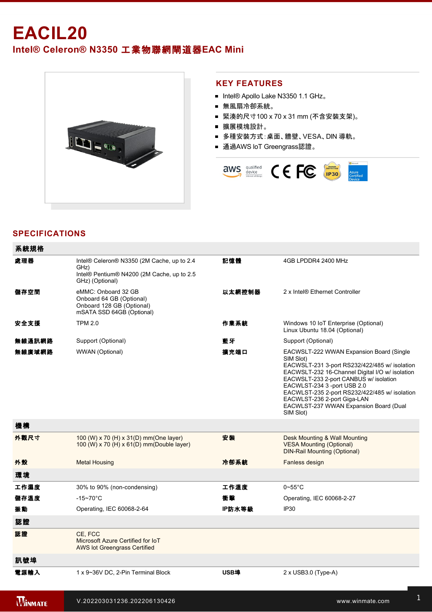# **EACIL20**

## **Intel® Celeron® N3350** 工業物聯網閘道器**EAC Mini**



#### **KEY FEATURES**

- Intel® Apollo Lake N3350 1.1 GHz。
- 無風扇冷卻系統。
- 緊湊的尺寸100 x 70 x 31 mm (不含安裝支架)。
- 擴展模塊設計。
- 多種安裝方式:桌面、牆壁、VESA、DIN 導軌。
- 通過AWS loT Greengrass認證。



### **SPECIFICATIONS**

| 系統規格   |                                                                                                                     |        |                                                                                                                                                                                                                                                                                                                                                                           |
|--------|---------------------------------------------------------------------------------------------------------------------|--------|---------------------------------------------------------------------------------------------------------------------------------------------------------------------------------------------------------------------------------------------------------------------------------------------------------------------------------------------------------------------------|
| 處理器    | Intel® Celeron® N3350 (2M Cache, up to 2.4<br>GHz)<br>Intel® Pentium® N4200 (2M Cache, up to 2.5<br>GHz) (Optional) | 記憶體    | 4GB LPDDR4 2400 MHz                                                                                                                                                                                                                                                                                                                                                       |
| 儲存空間   | eMMC: Onboard 32 GB<br>Onboard 64 GB (Optional)<br>Onboard 128 GB (Optional)<br>mSATA SSD 64GB (Optional)           | 以太網控制器 | 2 x Intel® Ethernet Controller                                                                                                                                                                                                                                                                                                                                            |
| 安全支援   | <b>TPM 2.0</b>                                                                                                      | 作業系統   | Windows 10 IoT Enterprise (Optional)<br>Linux Ubuntu 18.04 (Optional)                                                                                                                                                                                                                                                                                                     |
| 無線通訊網路 | Support (Optional)                                                                                                  | 藍牙     | Support (Optional)                                                                                                                                                                                                                                                                                                                                                        |
| 無線廣域網路 | WWAN (Optional)                                                                                                     | 擴充端口   | EACWSLT-222 WWAN Expansion Board (Single<br>SIM Slot)<br>EACWSLT-231 3-port RS232/422/485 w/ isolation<br>EACWSLT-232 16-Channel Digital I/O w/ isolation<br>EACWSLT-233 2-port CANBUS w/ isolation<br>EACWLST-234 3 -port USB 2.0<br>EACWLST-235 2-port RS232/422/485 w/ isolation<br>EACWLST-236 2-port Giga-LAN<br>EACWLST-237 WWAN Expansion Board (Dual<br>SIM Slot) |
| 機構     |                                                                                                                     |        |                                                                                                                                                                                                                                                                                                                                                                           |
| 外觀尺寸   | 100 (W) x 70 (H) x 31(D) mm(One layer)<br>100 (W) x 70 (H) x 61(D) mm(Double layer)                                 | 安装     | Desk Mounting & Wall Mounting<br><b>VESA Mounting (Optional)</b><br><b>DIN-Rail Mounting (Optional)</b>                                                                                                                                                                                                                                                                   |
| 外殼     | <b>Metal Housing</b>                                                                                                | 冷卻系統   | Fanless design                                                                                                                                                                                                                                                                                                                                                            |
| 環境     |                                                                                                                     |        |                                                                                                                                                                                                                                                                                                                                                                           |
| 工作濕度   | 30% to 90% (non-condensing)                                                                                         | 工作溫度   | $0\nightharpoonup 55^\circ C$                                                                                                                                                                                                                                                                                                                                             |
| 儲存溫度   | $-15 - 70^{\circ}$ C                                                                                                | 衝擊     | Operating, IEC 60068-2-27                                                                                                                                                                                                                                                                                                                                                 |
| 振動     | Operating, IEC 60068-2-64                                                                                           | IP防水等級 | IP30                                                                                                                                                                                                                                                                                                                                                                      |
| 認證     |                                                                                                                     |        |                                                                                                                                                                                                                                                                                                                                                                           |
| 認證     | CE. FCC<br>Microsoft Azure Certified for IoT<br><b>AWS lot Greengrass Certified</b>                                 |        |                                                                                                                                                                                                                                                                                                                                                                           |
| 訊號埠    |                                                                                                                     |        |                                                                                                                                                                                                                                                                                                                                                                           |
| 電源輸入   | 1 x 9~36V DC, 2-Pin Terminal Block                                                                                  | USB埠   | $2 \times$ USB3.0 (Type-A)                                                                                                                                                                                                                                                                                                                                                |

**mini PCIE** 1 x Mini PCIE 1 x Mini PCIE 1 x Mini PCIE 1 x Mini PCIE 1 x Mini PCIE 1 x Mini PCIE 1 x Mini PCIE

USB Wafer : 2 x USB Wafer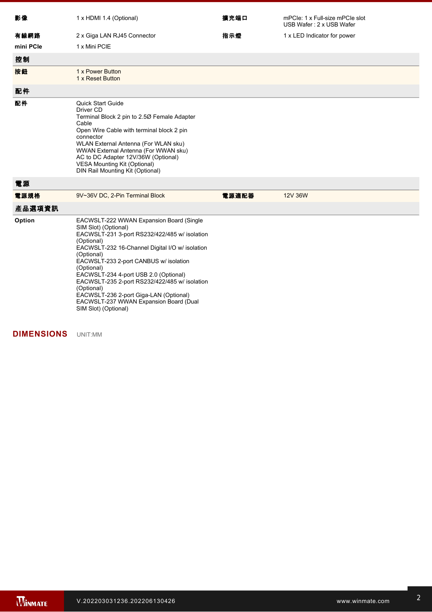| 影像        | 1 x HDMI 1.4 (Optional)                                                                                                                                                                                                                                                                                                                                                                                                                                                      | 擴充端口  | mPCle: 1 x Full-size mPCle slot<br>USB Wafer: 2 x USB Wafer |
|-----------|------------------------------------------------------------------------------------------------------------------------------------------------------------------------------------------------------------------------------------------------------------------------------------------------------------------------------------------------------------------------------------------------------------------------------------------------------------------------------|-------|-------------------------------------------------------------|
| 有線網路      | 2 x Giga LAN RJ45 Connector                                                                                                                                                                                                                                                                                                                                                                                                                                                  | 指示燈   | 1 x LED Indicator for power                                 |
| mini PCIe | 1 x Mini PCIE                                                                                                                                                                                                                                                                                                                                                                                                                                                                |       |                                                             |
| 控制        |                                                                                                                                                                                                                                                                                                                                                                                                                                                                              |       |                                                             |
| 按鈕        | 1 x Power Button<br>1 x Reset Button                                                                                                                                                                                                                                                                                                                                                                                                                                         |       |                                                             |
| 配件        |                                                                                                                                                                                                                                                                                                                                                                                                                                                                              |       |                                                             |
| 配件        | <b>Quick Start Guide</b><br>Driver CD<br>Terminal Block 2 pin to 2.50 Female Adapter<br>Cable<br>Open Wire Cable with terminal block 2 pin<br>connector<br>WLAN External Antenna (For WLAN sku)<br>WWAN External Antenna (For WWAN sku)<br>AC to DC Adapter 12V/36W (Optional)<br><b>VESA Mounting Kit (Optional)</b><br>DIN Rail Mounting Kit (Optional)                                                                                                                    |       |                                                             |
| 電源        |                                                                                                                                                                                                                                                                                                                                                                                                                                                                              |       |                                                             |
| 電源規格      | 9V~36V DC, 2-Pin Terminal Block                                                                                                                                                                                                                                                                                                                                                                                                                                              | 電源適配器 | 12V 36W                                                     |
| 產品選項資訊    |                                                                                                                                                                                                                                                                                                                                                                                                                                                                              |       |                                                             |
| Option    | EACWSLT-222 WWAN Expansion Board (Single<br>SIM Slot) (Optional)<br>EACWSLT-231 3-port RS232/422/485 w/ isolation<br>(Optional)<br>EACWSLT-232 16-Channel Digital I/O w/ isolation<br>(Optional)<br>EACWSLT-233 2-port CANBUS w/ isolation<br>(Optional)<br>EACWSLT-234 4-port USB 2.0 (Optional)<br>EACWSLT-235 2-port RS232/422/485 w/ isolation<br>(Optional)<br>EACWSLT-236 2-port Giga-LAN (Optional)<br>EACWSLT-237 WWAN Expansion Board (Dual<br>SIM Slot) (Optional) |       |                                                             |

### **DIMENSIONS**  UNIT:MM